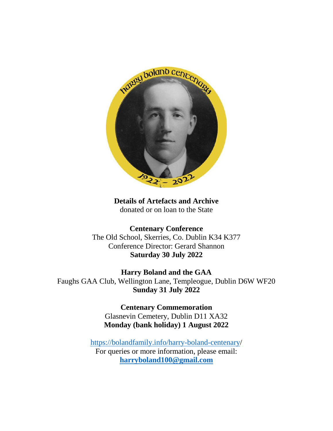

#### **Details of Artefacts and Archive** donated or on loan to the State

# **Centenary Conference**

The Old School, Skerries, Co. Dublin K34 K377 Conference Director: Gerard Shannon **Saturday 30 July 2022**

### **Harry Boland and the GAA**

Faughs GAA Club, Wellington Lane, Templeogue, Dublin D6W WF20 **Sunday 31 July 2022**

## **Centenary Commemoration**

Glasnevin Cemetery, Dublin D11 XA32 **Monday (bank holiday) 1 August 2022**

<https://bolandfamily.info/harry-boland-centenary/> For queries or more information, please email: **[harryboland100@gmail.com](mailto:harryboland100@gmail.com)**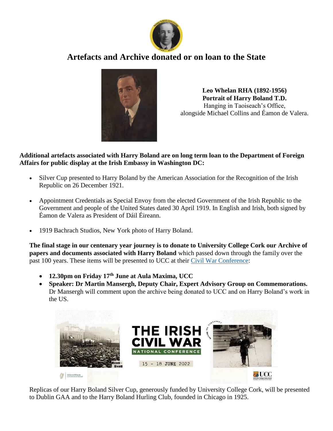

# **Artefacts and Archive donated or on loan to the State**



**Leo Whelan RHA (1892-1956) Portrait of Harry Boland T.D.** Hanging in Taoiseach's Office, alongside Michael Collins and Éamon de Valera.

#### **Additional artefacts associated with Harry Boland are on long term loan to the Department of Foreign Affairs for public display at the Irish Embassy in Washington DC:**

- Silver Cup presented to Harry Boland by the American Association for the Recognition of the Irish Republic on 26 December 1921.
- Appointment Credentials as Special Envoy from the elected Government of the Irish Republic to the Government and people of the United States dated 30 April 1919. In English and Irish, both signed by Éamon de Valera as President of Dáil Éireann.
- 1919 Bachrach Studios, New York photo of Harry Boland.

**The final stage in our centenary year journey is to donate to University College Cork our Archive of papers and documents associated with Harry Boland** which passed down through the family over the past 100 years. These items will be presented to UCC at their [Civil War Conference:](https://www.ucc.ie/en/theirishrevolution/irish-civil-war-national-conference-june-2022/conference-programme/)

- **12.30pm on Friday 17th June at Aula Maxima, UCC**
- **Speaker: Dr Martin Mansergh, Deputy Chair, Expert Advisory Group on Commemorations.** Dr Mansergh will comment upon the archive being donated to UCC and on Harry Boland's work in the US.



Replicas of our Harry Boland Silver Cup, generously funded by University College Cork, will be presented to Dublin GAA and to the Harry Boland Hurling Club, founded in Chicago in 1925.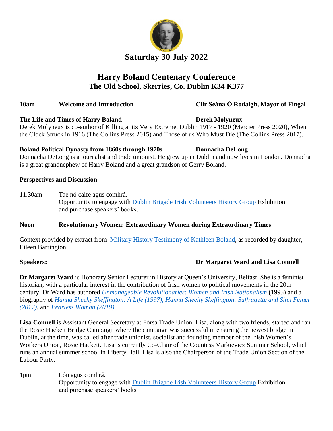# **Harry Boland Centenary Conference The Old School, Skerries, Co. Dublin K34 K377**

#### **10am Welcome and Introduction Cllr Seána Ó Rodaigh, Mayor of Fingal**

**The Life and Times of Harry Boland Derek Molyneux** Derek Molyneux is co-author of Killing at its Very Extreme, Dublin 1917 - 1920 (Mercier Press 2020), When the Clock Struck in 1916 (The Collins Press 2015) and Those of us Who Must Die (The Collins Press 2017).

**Boland Political Dynasty from 1860s through 1970s Donnacha DeLong** Donnacha DeLong is a journalist and trade unionist. He grew up in Dublin and now lives in London. Donnacha is a great grandnephew of Harry Boland and a great grandson of Gerry Boland.

#### **Perspectives and Discussion**

11.30am Tae nó caife agus comhrá. Opportunity to engage with [Dublin Brigade Irish Volunteers History Group](https://dublin-brigade-irish-volunteers.com/) Exhibition and purchase speakers' books.

#### **Noon Revolutionary Women: Extraordinary Women during Extraordinary Times**

Context provided by extract from [Military History Testimony of Kathleen Boland,](https://www.storiesfrom1916.ie/1916-easter-rising/kathleen-boland) as recorded by daughter, Eileen Barrington.

#### **Speakers: Dr Margaret Ward and Lisa Connell**

**Dr Margaret Ward** is Honorary Senior Lecturer in History at Queen's University, Belfast. She is a feminist historian, with a particular interest in the contribution of Irish women to political movements in the 20th century. Dr Ward has authored *[Unmanageable Revolutionaries: Women and Irish Nationalism](https://www.plutobooks.com/9781783718740/unmanageable-revolutionaries/)* (1995) and a biography of *[Hanna Sheehy Skeffington: A Life \(1997\),](https://www.historyireland.com/20th-century-contemporary-history/hanna-sheehy-skeffington-a-life-margaret-ward-attic-press-14-95-isbn-1855941872/) [Hanna Sheehy Skeffington: Suffragette and Sinn Feiner](https://www.ucdpress.ie/display.asp?isbn=9781910820148)  [\(2017\)](https://www.ucdpress.ie/display.asp?isbn=9781910820148)*, and *[Fearless Woman \(2019\).](https://www.ucdpress.ie/display.asp?K=9781910820407&aub=Margaret%20Ward&m=1&dc=2)*

**Lisa Connell** is Assistant General Secretary at Fórsa Trade Union. Lisa, along with two friends, started and ran the Rosie Hackett Bridge Campaign where the campaign was successful in ensuring the newest bridge in Dublin, at the time, was called after trade unionist, socialist and founding member of the Irish Women's Workers Union, Rosie Hackett. Lisa is currently Co-Chair of the Countess Markievicz Summer School, which runs an annual summer school in Liberty Hall. Lisa is also the Chairperson of the Trade Union Section of the Labour Party.

1pm Lón agus comhrá. Opportunity to engage with Dublin [Brigade Irish Volunteers History Group](https://dublin-brigade-irish-volunteers.com/) Exhibition and purchase speakers' books

# **Saturday 30 July 2022**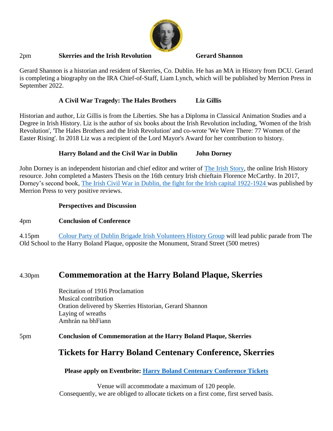

#### 2pm **Skerries and the Irish Revolution Gerard Shannon**

Gerard Shannon is a historian and resident of Skerries, Co. Dublin. He has an MA in History from DCU. Gerard is completing a biography on the IRA Chief-of-Staff, Liam Lynch, which will be published by Merrion Press in September 2022.

#### **A Civil War Tragedy: The Hales Brothers Liz Gillis**

Historian and author, Liz Gillis is from the Liberties. She has a Diploma in Classical Animation Studies and a Degree in Irish History. Liz is the author of six books about the Irish Revolution including, 'Women of the Irish Revolution', 'The Hales Brothers and the Irish Revolution' and co-wrote 'We Were There: 77 Women of the Easter Rising'. In 2018 Liz was a recipient of the Lord Mayor's Award for her contribution to history.

#### **Harry Boland and the Civil War in Dublin John Dorney**

John Dorney is an independent historian and chief editor and writer of The Irish [Story,](https://www.theirishstory.com/home/#.Ym6bhujMKUk) the online Irish History resource. John completed a Masters Thesis on the 16th century Irish chieftain Florence McCarthy. In 2017, Dorney's second book, [The Irish Civil War in Dublin, the fight for the Irish capital 1922-1924](http://irishacademicpress.ie/product/the-civil-war-in-dublin-the-fight-for-the-irish-capital-1922-1924/) was published by Merrion Press to very positive reviews.

#### **Perspectives and Discussion**

#### 4pm **Conclusion of Conference**

4.15pm [Colour Party of Dublin Brigade Irish Volunteers History Group](https://dublin-brigade-irish-volunteers.com/) will lead public parade from The Old School to the Harry Boland Plaque, opposite the Monument, Strand Street (500 metres)

# 4.30pm **Commemoration at the Harry Boland Plaque, Skerries**

Recitation of 1916 Proclamation Musical contribution Oration delivered by Skerries Historian, Gerard Shannon Laying of wreaths Amhrán na bhFiann

#### 5pm **Conclusion of Commemoration at the Harry Boland Plaque, Skerries**

# **Tickets for Harry Boland Centenary Conference, Skerries**

**Please apply on Eventbrite: [Harry Boland Centenary Conference Tickets](https://www.eventbrite.co.uk/e/harry-boland-centenary-conference-tickets-337956475917)**

Venue will accommodate a maximum of 120 people. Consequently, we are obliged to allocate tickets on a first come, first served basis.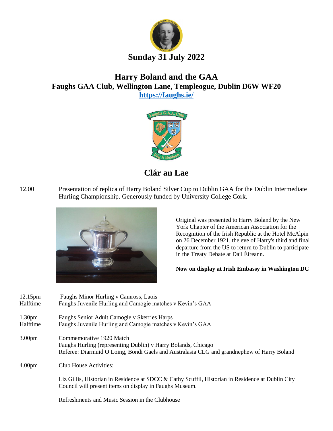

# **Harry Boland and the GAA Faughs GAA Club, Wellington Lane, Templeogue, Dublin D6W WF20 <https://faughs.ie/>**



**Clár an Lae**

12.00 Presentation of replica of Harry Boland Silver Cup to Dublin GAA for the Dublin Intermediate Hurling Championship. Generously funded by University College Cork.



Original was presented to Harry Boland by the New York Chapter of the American Association for the Recognition of the Irish Republic at the Hotel McAlpin on 26 December 1921, the eve of Harry's third and final departure from the US to return to Dublin to participate in the Treaty Debate at Dáil Éireann.

**Now on display at Irish Embassy in Washington DC**

| 12.15 <sub>pm</sub><br>Halftime | Faughs Minor Hurling v Camross, Laois<br>Faughs Juvenile Hurling and Camogie matches v Kevin's GAA                                                                                      |
|---------------------------------|-----------------------------------------------------------------------------------------------------------------------------------------------------------------------------------------|
| 1.30 <sub>pm</sub><br>Halftime  | Faughs Senior Adult Camogie v Skerries Harps<br>Faughs Juvenile Hurling and Camogie matches v Kevin's GAA                                                                               |
| 3.00 <sub>pm</sub>              | Commemorative 1920 Match<br>Faughs Hurling (representing Dublin) v Harry Bolands, Chicago<br>Referee: Diarmuid O Loing, Bondi Gaels and Australasia CLG and grandnephew of Harry Boland |
| 4.00 <sub>pm</sub>              | <b>Club House Activities:</b>                                                                                                                                                           |
|                                 | Liz Gillis, Historian in Residence at SDCC & Cathy Scuffil, Historian in Residence at Dublin City<br>Council will present items on display in Faughs Museum.                            |

Refreshments and Music Session in the Clubhouse